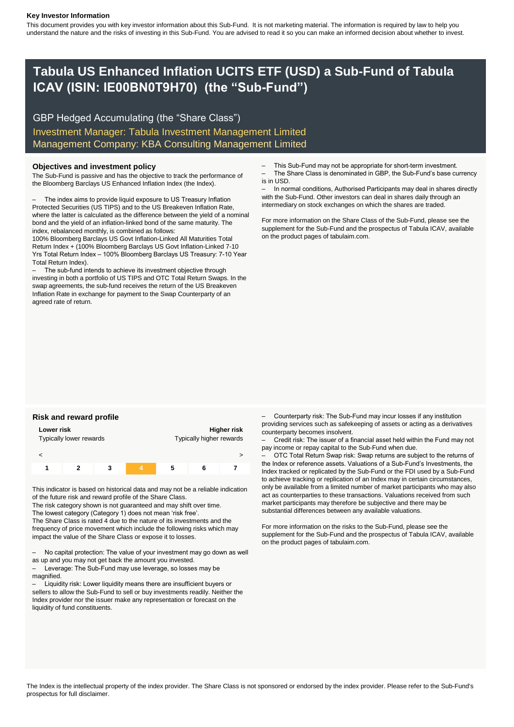#### **Key Investor Information**

This document provides you with key investor information about this Sub-Fund. It is not marketing material. The information is required by law to help you understand the nature and the risks of investing in this Sub-Fund. You are advised to read it so you can make an informed decision about whether to invest.

## **Tabula US Enhanced Inflation UCITS ETF (USD) a Sub-Fund of Tabula ICAV (ISIN: IE00BN0T9H70) (the "Sub-Fund")**

GBP Hedged Accumulating (the "Share Class") Investment Manager: Tabula Investment Management Limited Management Company: KBA Consulting Management Limited

#### **Objectives and investment policy**

The Sub-Fund is passive and has the objective to track the performance of the Bloomberg Barclays US Enhanced Inflation Index (the Index).

– The index aims to provide liquid exposure to US Treasury Inflation Protected Securities (US TIPS) and to the US Breakeven Inflation Rate, where the latter is calculated as the difference between the yield of a nominal bond and the yield of an inflation-linked bond of the same maturity. The index, rebalanced monthly, is combined as follows:

100% Bloomberg Barclays US Govt Inflation-Linked All Maturities Total Return Index + (100% Bloomberg Barclays US Govt Inflation-Linked 7-10 Yrs Total Return Index – 100% Bloomberg Barclays US Treasury: 7-10 Year Total Return Index).

– The sub-fund intends to achieve its investment objective through investing in both a portfolio of US TIPS and OTC Total Return Swaps. In the swap agreements, the sub-fund receives the return of the US Breakeven Inflation Rate in exchange for payment to the Swap Counterparty of an agreed rate of return.

- This Sub-Fund may not be appropriate for short-term investment.
- The Share Class is denominated in GBP, the Sub-Fund's base currency is in USD.

In normal conditions, Authorised Participants may deal in shares directly with the Sub-Fund. Other investors can deal in shares daily through an intermediary on stock exchanges on which the shares are traded.

For more information on the Share Class of the Sub-Fund, please see the supplement for the Sub-Fund and the prospectus of Tabula ICAV, available on the product pages of tabulaim.com.

|                       | Higher risk<br>Lower risk<br>Typically higher rewards<br>Typically lower rewards |  |  |  |  |
|-----------------------|----------------------------------------------------------------------------------|--|--|--|--|
|                       |                                                                                  |  |  |  |  |
| 3<br>5<br>6<br>2<br>1 |                                                                                  |  |  |  |  |

This indicator is based on historical data and may not be a reliable indication of the future risk and reward profile of the Share Class.

The risk category shown is not guaranteed and may shift over time. The lowest category (Category 1) does not mean 'risk free'.

The Share Class is rated 4 due to the nature of its investments and the frequency of price movement which include the following risks which may impact the value of the Share Class or expose it to losses.

– No capital protection: The value of your investment may go down as well as up and you may not get back the amount you invested.

– Leverage: The Sub-Fund may use leverage, so losses may be magnified.

– Liquidity risk: Lower liquidity means there are insufficient buyers or sellers to allow the Sub-Fund to sell or buy investments readily. Neither the Index provider nor the issuer make any representation or forecast on the liquidity of fund constituents.

**Risk and reward profile Example 20 and reward profile Fig. 20** and **Fig. 20** and **Fig. 20** and **Fig. 20** and **Fig. 20** and **Fig. 20** and **Fig. 20** and **Fig. 20** and **Fig. 20** and **Fig. 20** and **Fig. 20** and **Fig. 20** providing services such as safekeeping of assets or acting as a derivatives counterparty becomes insolvent.

> – Credit risk: The issuer of a financial asset held within the Fund may not pay income or repay capital to the Sub-Fund when due.

– OTC Total Return Swap risk: Swap returns are subject to the returns of the Index or reference assets. Valuations of a Sub-Fund's Investments, the Index tracked or replicated by the Sub-Fund or the FDI used by a Sub-Fund to achieve tracking or replication of an Index may in certain circumstances, only be available from a limited number of market participants who may also act as counterparties to these transactions. Valuations received from such market participants may therefore be subjective and there may be substantial differences between any available valuations.

For more information on the risks to the Sub-Fund, please see the supplement for the Sub-Fund and the prospectus of Tabula ICAV, available on the product pages of tabulaim.com.